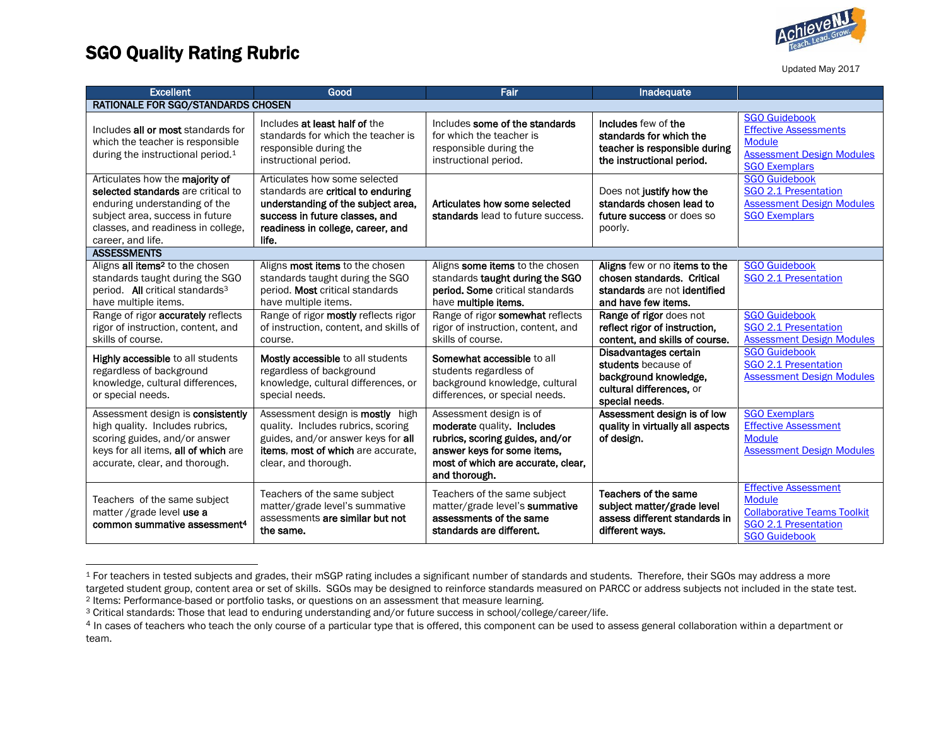

## SGO Quality Rating Rubric

Updated May 2017

| <b>Excellent</b>                                                                                                                                                                                     | Good                                                                                                                                                                                      | Fair                                                                                                                                                                           | Inadequate                                                                                                          |                                                                                                                                    |  |  |  |
|------------------------------------------------------------------------------------------------------------------------------------------------------------------------------------------------------|-------------------------------------------------------------------------------------------------------------------------------------------------------------------------------------------|--------------------------------------------------------------------------------------------------------------------------------------------------------------------------------|---------------------------------------------------------------------------------------------------------------------|------------------------------------------------------------------------------------------------------------------------------------|--|--|--|
| <b>RATIONALE FOR SGO/STANDARDS CHOSEN</b>                                                                                                                                                            |                                                                                                                                                                                           |                                                                                                                                                                                |                                                                                                                     |                                                                                                                                    |  |  |  |
| Includes all or most standards for<br>which the teacher is responsible<br>during the instructional period. <sup>1</sup>                                                                              | Includes at least half of the<br>standards for which the teacher is<br>responsible during the<br>instructional period.                                                                    | Includes some of the standards<br>for which the teacher is<br>responsible during the<br>instructional period.                                                                  | Includes few of the<br>standards for which the<br>teacher is responsible during<br>the instructional period.        | <b>SGO Guidebook</b><br><b>Effective Assessments</b><br><b>Module</b><br><b>Assessment Design Modules</b><br><b>SGO Exemplars</b>  |  |  |  |
| Articulates how the majority of<br>selected standards are critical to<br>enduring understanding of the<br>subject area, success in future<br>classes, and readiness in college,<br>career, and life. | Articulates how some selected<br>standards are critical to enduring<br>understanding of the subject area,<br>success in future classes, and<br>readiness in college, career, and<br>life. | Articulates how some selected<br>standards lead to future success.                                                                                                             | Does not justify how the<br>standards chosen lead to<br>future success or does so<br>poorly.                        | <b>SGO Guidebook</b><br>SGO 2.1 Presentation<br><b>Assessment Design Modules</b><br><b>SGO Exemplars</b>                           |  |  |  |
| <b>ASSESSMENTS</b>                                                                                                                                                                                   |                                                                                                                                                                                           |                                                                                                                                                                                |                                                                                                                     |                                                                                                                                    |  |  |  |
| Aligns all items <sup>2</sup> to the chosen<br>standards taught during the SGO<br>period. All critical standards <sup>3</sup><br>have multiple items.                                                | Aligns <b>most items</b> to the chosen<br>standards taught during the SGO<br>period. Most critical standards<br>have multiple items.                                                      | Aligns some items to the chosen<br>standards taught during the SGO<br><b>period. Some critical standards</b><br>have multiple items.                                           | Aligns few or no items to the<br>chosen standards. Critical<br>standards are not identified<br>and have few items.  | <b>SGO Guidebook</b><br>SGO 2.1 Presentation                                                                                       |  |  |  |
| Range of rigor accurately reflects<br>rigor of instruction, content, and<br>skills of course.                                                                                                        | Range of rigor mostly reflects rigor<br>of instruction, content, and skills of<br>course.                                                                                                 | Range of rigor somewhat reflects<br>rigor of instruction, content, and<br>skills of course.                                                                                    | Range of rigor does not<br>reflect rigor of instruction,<br>content, and skills of course.                          | <b>SGO Guidebook</b><br>SGO 2.1 Presentation<br><b>Assessment Design Modules</b>                                                   |  |  |  |
| <b>Highly accessible to all students</b><br>regardless of background<br>knowledge, cultural differences,<br>or special needs.                                                                        | <b>Mostly accessible to all students</b><br>regardless of background<br>knowledge, cultural differences, or<br>special needs.                                                             | Somewhat accessible to all<br>students regardless of<br>background knowledge, cultural<br>differences, or special needs.                                                       | Disadvantages certain<br>students because of<br>background knowledge,<br>cultural differences, or<br>special needs. | <b>SGO Guidebook</b><br>SGO 2.1 Presentation<br><b>Assessment Design Modules</b>                                                   |  |  |  |
| Assessment design is consistently<br>high quality. Includes rubrics,<br>scoring guides, and/or answer<br>keys for all items, all of which are<br>accurate, clear, and thorough.                      | Assessment design is <b>mostly</b> high<br>quality. Includes rubrics, scoring<br>guides, and/or answer keys for all<br><b>items. most of which are accurate.</b><br>clear, and thorough.  | Assessment design is of<br>moderate quality. Includes<br>rubrics, scoring guides, and/or<br>answer keys for some items,<br>most of which are accurate, clear,<br>and thorough. | Assessment design is of low<br>quality in virtually all aspects<br>of design.                                       | <b>SGO Exemplars</b><br><b>Effective Assessment</b><br><b>Module</b><br><b>Assessment Design Modules</b>                           |  |  |  |
| Teachers of the same subject<br>matter / grade level use a<br>common summative assessment <sup>4</sup>                                                                                               | Teachers of the same subject<br>matter/grade level's summative<br>assessments are similar but not<br>the same.                                                                            | Teachers of the same subject<br>matter/grade level's summative<br>assessments of the same<br>standards are different.                                                          | Teachers of the same<br>subject matter/grade level<br>assess different standards in<br>different wavs.              | <b>Effective Assessment</b><br><b>Module</b><br><b>Collaborative Teams Toolkit</b><br>SGO 2.1 Presentation<br><b>SGO Guidebook</b> |  |  |  |

<sup>&</sup>lt;sup>1</sup> For teachers in tested subjects and grades, their mSGP rating includes a significant number of standards and students. Therefore, their SGOs may address a more targeted student group, content area or set of skills. SGOs may be designed to reinforce standards measured on PARCC or address subjects not included in the state test. <sup>2</sup> Items: Performance-based or portfolio tasks, or questions on an assessment that measure learning.

<sup>3</sup> Critical standards: Those that lead to enduring understanding and/or future success in school/college/career/life.

<sup>&</sup>lt;sup>4</sup> In cases of teachers who teach the only course of a particular type that is offered, this component can be used to assess general collaboration within a department or team.